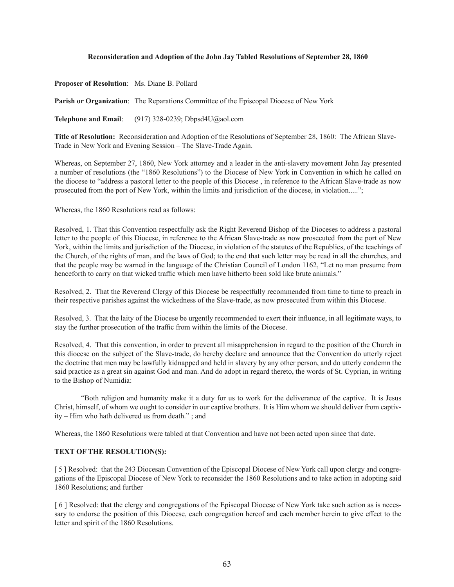### **Reconsideration and Adoption of the John Jay Tabled Resolutions of September 28, 1860**

**Proposer of Resolution**: Ms. Diane B. Pollard

**Parish or Organization**: The Reparations Committee of the Episcopal Diocese of New York

**Telephone and Email**: (917) 328-0239; Dbpsd4U@aol.com

**Title of Resolution:** Reconsideration and Adoption of the Resolutions of September 28, 1860: The African Slave-Trade in New York and Evening Session – The Slave-Trade Again.

Whereas, on September 27, 1860, New York attorney and a leader in the anti-slavery movement John Jay presented a number of resolutions (the "1860 Resolutions") to the Diocese of New York in Convention in which he called on the diocese to "address a pastoral letter to the people of this Diocese , in reference to the African Slave-trade as now prosecuted from the port of New York, within the limits and jurisdiction of the diocese, in violation.....";

Whereas, the 1860 Resolutions read as follows:

Resolved, 1. That this Convention respectfully ask the Right Reverend Bishop of the Dioceses to address a pastoral letter to the people of this Diocese, in reference to the African Slave-trade as now prosecuted from the port of New York, within the limits and jurisdiction of the Diocese, in violation of the statutes of the Republics, of the teachings of the Church, of the rights of man, and the laws of God; to the end that such letter may be read in all the churches, and that the people may be warned in the language of the Christian Council of London 1162, "Let no man presume from henceforth to carry on that wicked traffic which men have hitherto been sold like brute animals."

Resolved, 2. That the Reverend Clergy of this Diocese be respectfully recommended from time to time to preach in their respective parishes against the wickedness of the Slave-trade, as now prosecuted from within this Diocese.

Resolved, 3. That the laity of the Diocese be urgently recommended to exert their influence, in all legitimate ways, to stay the further prosecution of the traffic from within the limits of the Diocese.

Resolved, 4. That this convention, in order to prevent all misapprehension in regard to the position of the Church in this diocese on the subject of the Slave-trade, do hereby declare and announce that the Convention do utterly reject the doctrine that men may be lawfully kidnapped and held in slavery by any other person, and do utterly condemn the said practice as a great sin against God and man. And do adopt in regard thereto, the words of St. Cyprian, in writing to the Bishop of Numidia:

"Both religion and humanity make it a duty for us to work for the deliverance of the captive. It is Jesus Christ, himself, of whom we ought to consider in our captive brothers. It is Him whom we should deliver from captivity – Him who hath delivered us from death." ; and

Whereas, the 1860 Resolutions were tabled at that Convention and have not been acted upon since that date.

#### **TEXT OF THE RESOLUTION(S):**

[ 5 ] Resolved: that the 243 Diocesan Convention of the Episcopal Diocese of New York call upon clergy and congregations of the Episcopal Diocese of New York to reconsider the 1860 Resolutions and to take action in adopting said 1860 Resolutions; and further

[ 6 ] Resolved: that the clergy and congregations of the Episcopal Diocese of New York take such action as is necessary to endorse the position of this Diocese, each congregation hereof and each member herein to give effect to the letter and spirit of the 1860 Resolutions.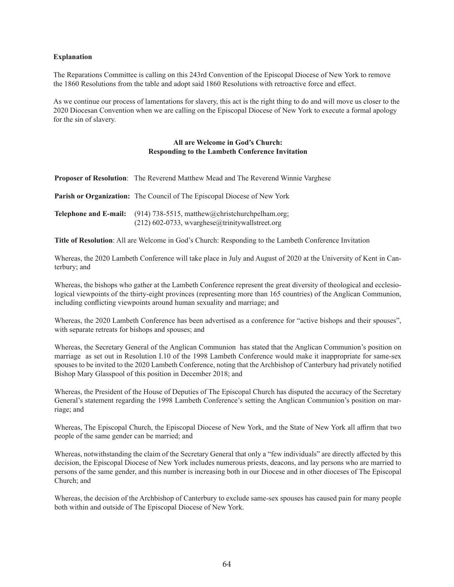### **Explanation**

The Reparations Committee is calling on this 243rd Convention of the Episcopal Diocese of New York to remove the 1860 Resolutions from the table and adopt said 1860 Resolutions with retroactive force and effect.

As we continue our process of lamentations for slavery, this act is the right thing to do and will move us closer to the 2020 Diocesan Convention when we are calling on the Episcopal Diocese of New York to execute a formal apology for the sin of slavery.

### **All are Welcome in God's Church: Responding to the Lambeth Conference Invitation**

| Proposer of Resolution: The Reverend Matthew Mead and The Reverend Winnie Varghese |  |  |  |  |  |  |
|------------------------------------------------------------------------------------|--|--|--|--|--|--|
|------------------------------------------------------------------------------------|--|--|--|--|--|--|

**Parish or Organization:** The Council of The Episcopal Diocese of New York

| <b>Telephone and E-mail:</b> (914) 738-5515, matthew@christchurchpelham.org; |
|------------------------------------------------------------------------------|
| $(212)$ 602-0733, wvarghese@trinitywallstreet.org                            |

**Title of Resolution**: All are Welcome in God's Church: Responding to the Lambeth Conference Invitation

Whereas, the 2020 Lambeth Conference will take place in July and August of 2020 at the University of Kent in Canterbury; and

Whereas, the bishops who gather at the Lambeth Conference represent the great diversity of theological and ecclesiological viewpoints of the thirty-eight provinces (representing more than 165 countries) of the Anglican Communion, including conflicting viewpoints around human sexuality and marriage; and

Whereas, the 2020 Lambeth Conference has been advertised as a conference for "active bishops and their spouses", with separate retreats for bishops and spouses; and

Whereas, the Secretary General of the Anglican Communion has stated that the Anglican Communion's position on marriage as set out in Resolution I.10 of the 1998 Lambeth Conference would make it inappropriate for same-sex spouses to be invited to the 2020 Lambeth Conference, noting that the Archbishop of Canterbury had privately notified Bishop Mary Glasspool of this position in December 2018; and

Whereas, the President of the House of Deputies of The Episcopal Church has disputed the accuracy of the Secretary General's statement regarding the 1998 Lambeth Conference's setting the Anglican Communion's position on marriage; and

Whereas, The Episcopal Church, the Episcopal Diocese of New York, and the State of New York all affirm that two people of the same gender can be married; and

Whereas, notwithstanding the claim of the Secretary General that only a "few individuals" are directly affected by this decision, the Episcopal Diocese of New York includes numerous priests, deacons, and lay persons who are married to persons of the same gender, and this number is increasing both in our Diocese and in other dioceses of The Episcopal Church; and

Whereas, the decision of the Archbishop of Canterbury to exclude same-sex spouses has caused pain for many people both within and outside of The Episcopal Diocese of New York.